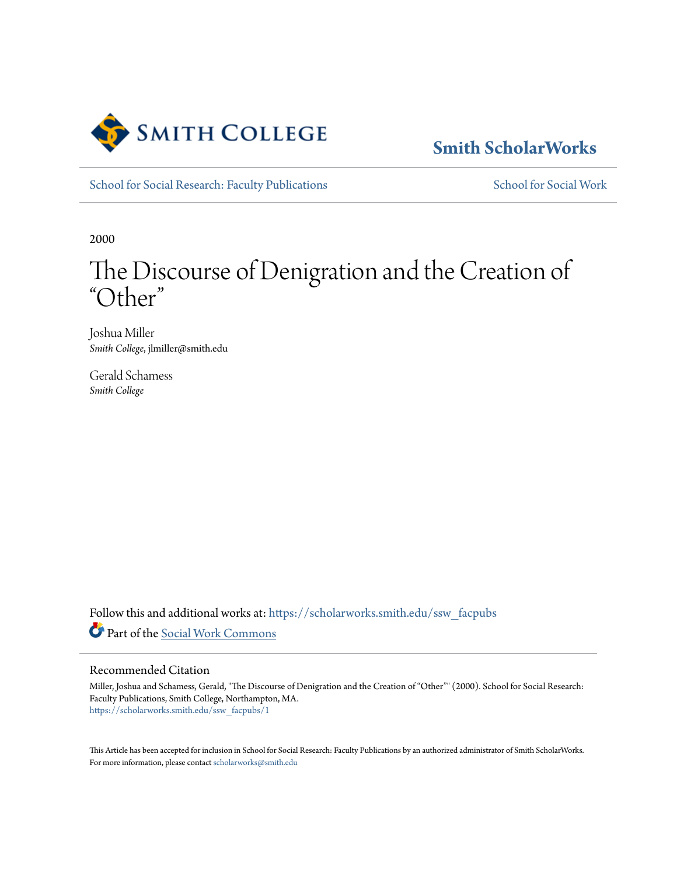

# **[Smith ScholarWorks](https://scholarworks.smith.edu/?utm_source=scholarworks.smith.edu%2Fssw_facpubs%2F1&utm_medium=PDF&utm_campaign=PDFCoverPages)**

[School for Social Research: Faculty Publications](https://scholarworks.smith.edu/ssw_facpubs?utm_source=scholarworks.smith.edu%2Fssw_facpubs%2F1&utm_medium=PDF&utm_campaign=PDFCoverPages) [School for Social Work](https://scholarworks.smith.edu/ssw?utm_source=scholarworks.smith.edu%2Fssw_facpubs%2F1&utm_medium=PDF&utm_campaign=PDFCoverPages)

2000

# The Discourse of Denigration and the Creation of "Other "

Joshua Miller *Smith College*, jlmiller@smith.edu

Gerald Schamess *Smith College*

Follow this and additional works at: [https://scholarworks.smith.edu/ssw\\_facpubs](https://scholarworks.smith.edu/ssw_facpubs?utm_source=scholarworks.smith.edu%2Fssw_facpubs%2F1&utm_medium=PDF&utm_campaign=PDFCoverPages) Part of the [Social Work Commons](http://network.bepress.com/hgg/discipline/713?utm_source=scholarworks.smith.edu%2Fssw_facpubs%2F1&utm_medium=PDF&utm_campaign=PDFCoverPages)

#### Recommended Citation

Miller, Joshua and Schamess, Gerald, "The Discourse of Denigration and the Creation of "Other"" (2000). School for Social Research: Faculty Publications, Smith College, Northampton, MA. [https://scholarworks.smith.edu/ssw\\_facpubs/1](https://scholarworks.smith.edu/ssw_facpubs/1?utm_source=scholarworks.smith.edu%2Fssw_facpubs%2F1&utm_medium=PDF&utm_campaign=PDFCoverPages)

This Article has been accepted for inclusion in School for Social Research: Faculty Publications by an authorized administrator of Smith ScholarWorks. For more information, please contact [scholarworks@smith.edu](mailto:scholarworks@smith.edu)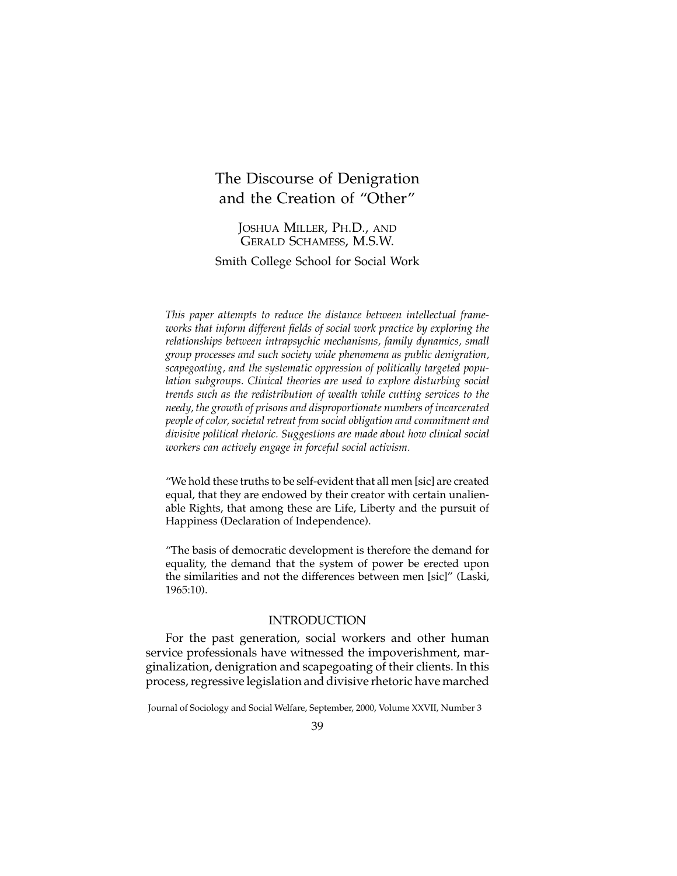## The Discourse of Denigration and the Creation of "Other"

JOSHUA MILLER, PH.D., AND GERALD SCHAMESS, M.S.W.

Smith College School for Social Work

*This paper attempts to reduce the distance between intellectual frameworks that inform different fields of social work practice by exploring the relationships between intrapsychic mechanisms, family dynamics, small group processes and such society wide phenomena as public denigration, scapegoating, and the systematic oppression of politically targeted population subgroups. Clinical theories are used to explore disturbing social trends such as the redistribution of wealth while cutting services to the needy, the growth of prisons and disproportionate numbers of incarcerated people of color, societal retreat from social obligation and commitment and divisive political rhetoric. Suggestions are made about how clinical social workers can actively engage in forceful social activism.*

"We hold these truths to be self-evident that all men [sic] are created equal, that they are endowed by their creator with certain unalienable Rights, that among these are Life, Liberty and the pursuit of Happiness (Declaration of Independence).

"The basis of democratic development is therefore the demand for equality, the demand that the system of power be erected upon the similarities and not the differences between men [sic]" (Laski, 1965:10).

#### INTRODUCTION

For the past generation, social workers and other human service professionals have witnessed the impoverishment, marginalization, denigration and scapegoating of their clients. In this process, regressive legislation and divisive rhetoric have marched

Journal of Sociology and Social Welfare, September, 2000, Volume XXVII, Number 3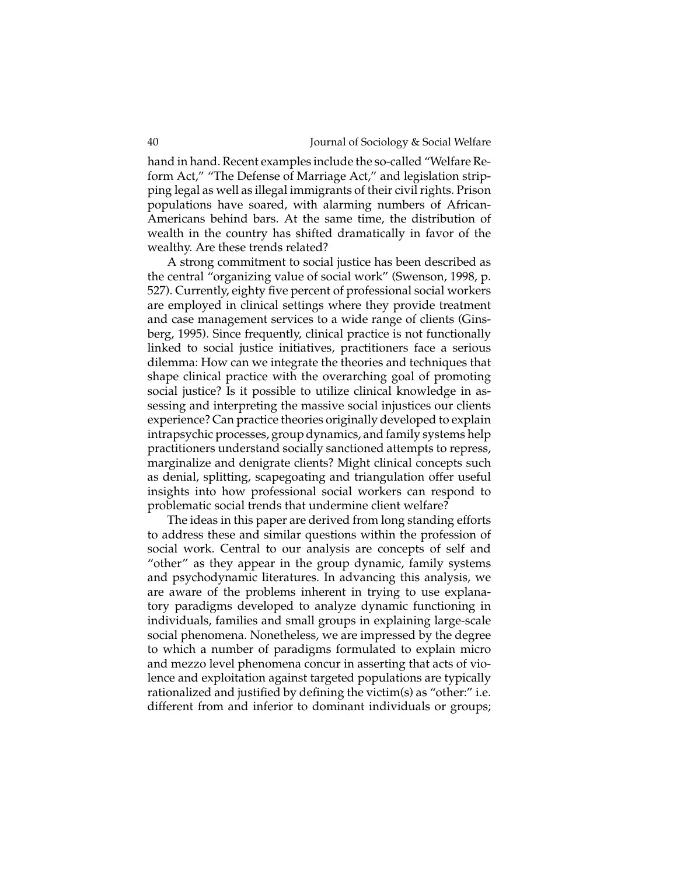hand in hand. Recent examples include the so-called "Welfare Reform Act," "The Defense of Marriage Act," and legislation stripping legal as well as illegal immigrants of their civil rights. Prison populations have soared, with alarming numbers of African-Americans behind bars. At the same time, the distribution of wealth in the country has shifted dramatically in favor of the wealthy. Are these trends related?

A strong commitment to social justice has been described as the central "organizing value of social work" (Swenson, 1998, p. 527). Currently, eighty five percent of professional social workers are employed in clinical settings where they provide treatment and case management services to a wide range of clients (Ginsberg, 1995). Since frequently, clinical practice is not functionally linked to social justice initiatives, practitioners face a serious dilemma: How can we integrate the theories and techniques that shape clinical practice with the overarching goal of promoting social justice? Is it possible to utilize clinical knowledge in assessing and interpreting the massive social injustices our clients experience? Can practice theories originally developed to explain intrapsychic processes, group dynamics, and family systems help practitioners understand socially sanctioned attempts to repress, marginalize and denigrate clients? Might clinical concepts such as denial, splitting, scapegoating and triangulation offer useful insights into how professional social workers can respond to problematic social trends that undermine client welfare?

The ideas in this paper are derived from long standing efforts to address these and similar questions within the profession of social work. Central to our analysis are concepts of self and "other" as they appear in the group dynamic, family systems and psychodynamic literatures. In advancing this analysis, we are aware of the problems inherent in trying to use explanatory paradigms developed to analyze dynamic functioning in individuals, families and small groups in explaining large-scale social phenomena. Nonetheless, we are impressed by the degree to which a number of paradigms formulated to explain micro and mezzo level phenomena concur in asserting that acts of violence and exploitation against targeted populations are typically rationalized and justified by defining the victim(s) as "other:" i.e. different from and inferior to dominant individuals or groups;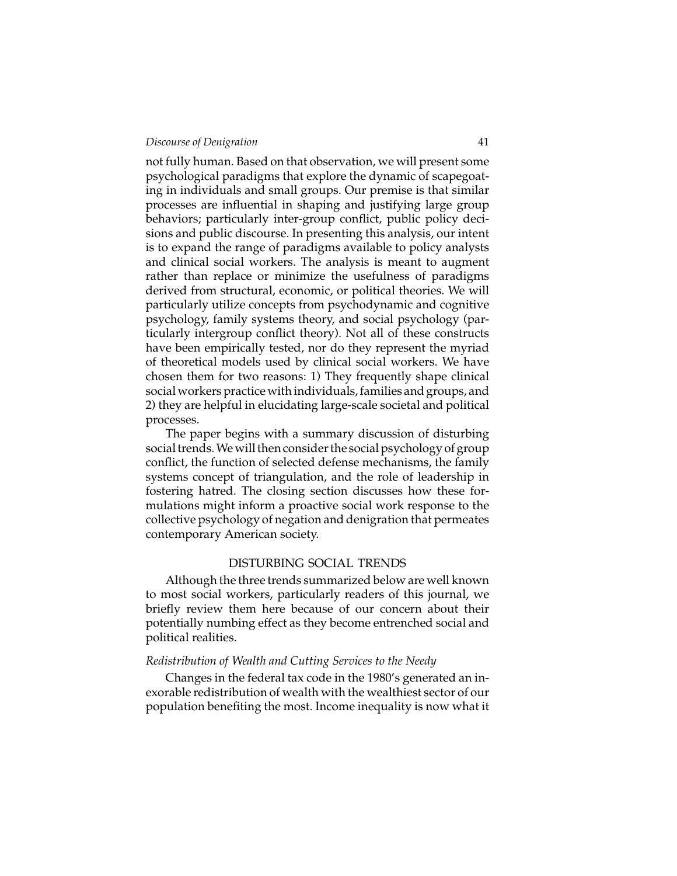not fully human. Based on that observation, we will present some psychological paradigms that explore the dynamic of scapegoating in individuals and small groups. Our premise is that similar processes are influential in shaping and justifying large group behaviors; particularly inter-group conflict, public policy decisions and public discourse. In presenting this analysis, our intent is to expand the range of paradigms available to policy analysts and clinical social workers. The analysis is meant to augment rather than replace or minimize the usefulness of paradigms derived from structural, economic, or political theories. We will particularly utilize concepts from psychodynamic and cognitive psychology, family systems theory, and social psychology (particularly intergroup conflict theory). Not all of these constructs have been empirically tested, nor do they represent the myriad of theoretical models used by clinical social workers. We have chosen them for two reasons: 1) They frequently shape clinical social workers practice with individuals, families and groups, and 2) they are helpful in elucidating large-scale societal and political processes.

The paper begins with a summary discussion of disturbing social trends.We will then consider the social psychology of group conflict, the function of selected defense mechanisms, the family systems concept of triangulation, and the role of leadership in fostering hatred. The closing section discusses how these formulations might inform a proactive social work response to the collective psychology of negation and denigration that permeates contemporary American society.

#### DISTURBING SOCIAL TRENDS

Although the three trends summarized below are well known to most social workers, particularly readers of this journal, we briefly review them here because of our concern about their potentially numbing effect as they become entrenched social and political realities.

#### *Redistribution of Wealth and Cutting Services to the Needy*

Changes in the federal tax code in the 1980's generated an inexorable redistribution of wealth with the wealthiest sector of our population benefiting the most. Income inequality is now what it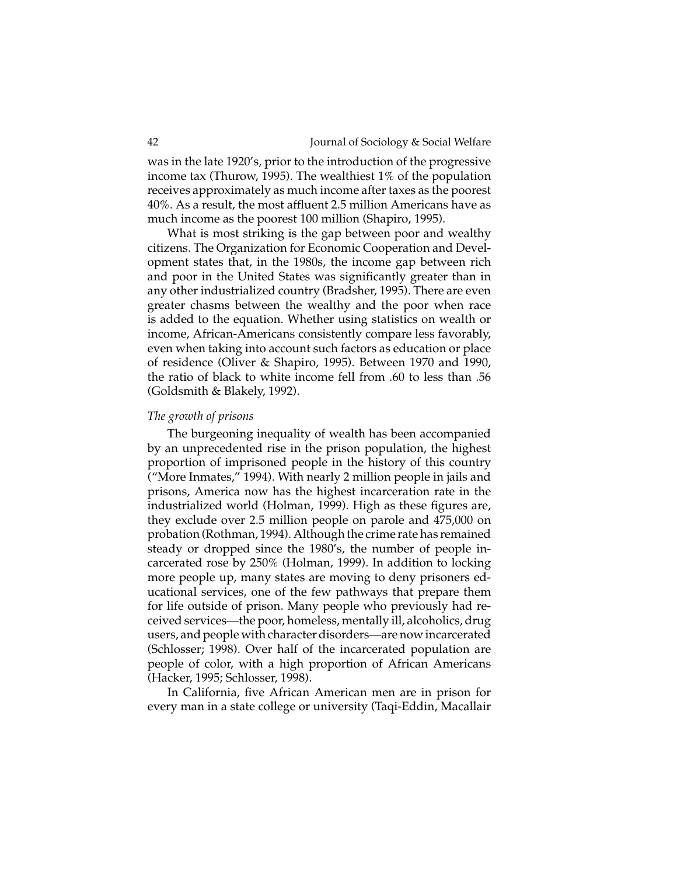was in the late 1920's, prior to the introduction of the progressive income tax (Thurow, 1995). The wealthiest 1% of the population receives approximately as much income after taxes as the poorest 40%. As a result, the most affluent 2.5 million Americans have as much income as the poorest 100 million (Shapiro, 1995).

What is most striking is the gap between poor and wealthy citizens. The Organization for Economic Cooperation and Development states that, in the 1980s, the income gap between rich and poor in the United States was significantly greater than in any other industrialized country (Bradsher, 1995). There are even greater chasms between the wealthy and the poor when race is added to the equation. Whether using statistics on wealth or income, African-Americans consistently compare less favorably, even when taking into account such factors as education or place of residence (Oliver & Shapiro, 1995). Between 1970 and 1990, the ratio of black to white income fell from .60 to less than .56 (Goldsmith & Blakely, 1992).

#### *The growth of prisons*

The burgeoning inequality of wealth has been accompanied by an unprecedented rise in the prison population, the highest proportion of imprisoned people in the history of this country ("More Inmates," 1994). With nearly 2 million people in jails and prisons, America now has the highest incarceration rate in the industrialized world (Holman, 1999). High as these figures are, they exclude over 2.5 million people on parole and 475,000 on probation (Rothman, 1994). Although the crime rate has remained steady or dropped since the 1980's, the number of people incarcerated rose by 250% (Holman, 1999). In addition to locking more people up, many states are moving to deny prisoners educational services, one of the few pathways that prepare them for life outside of prison. Many people who previously had received services—the poor, homeless, mentally ill, alcoholics, drug users, and people with character disorders—are now incarcerated (Schlosser; 1998). Over half of the incarcerated population are people of color, with a high proportion of African Americans (Hacker, 1995; Schlosser, 1998).

In California, five African American men are in prison for every man in a state college or university (Taqi-Eddin, Macallair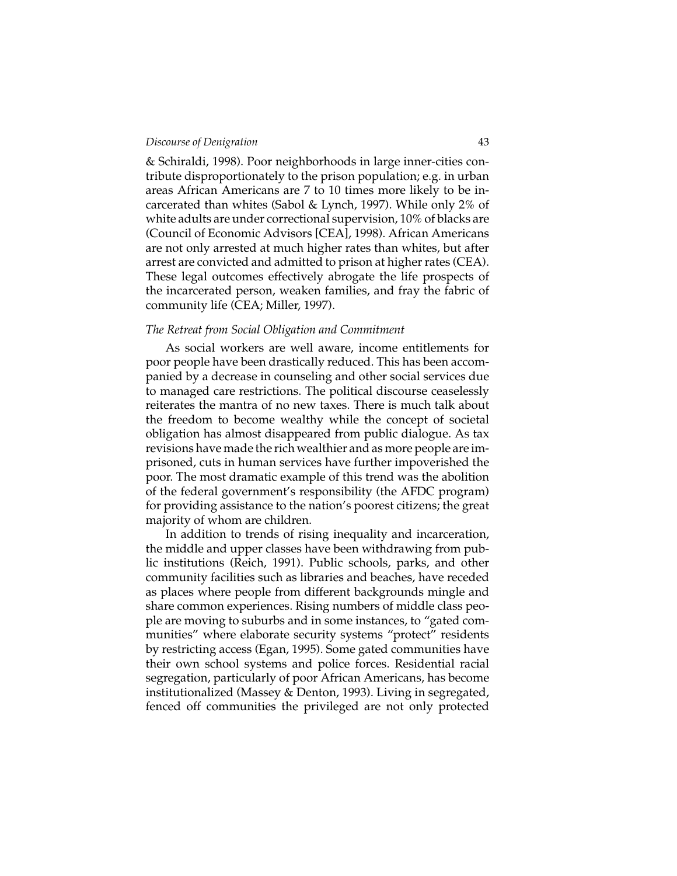& Schiraldi, 1998). Poor neighborhoods in large inner-cities contribute disproportionately to the prison population; e.g. in urban areas African Americans are 7 to 10 times more likely to be incarcerated than whites (Sabol & Lynch, 1997). While only 2% of white adults are under correctional supervision, 10% of blacks are (Council of Economic Advisors [CEA], 1998). African Americans are not only arrested at much higher rates than whites, but after arrest are convicted and admitted to prison at higher rates (CEA). These legal outcomes effectively abrogate the life prospects of the incarcerated person, weaken families, and fray the fabric of community life (CEA; Miller, 1997).

#### *The Retreat from Social Obligation and Commitment*

As social workers are well aware, income entitlements for poor people have been drastically reduced. This has been accompanied by a decrease in counseling and other social services due to managed care restrictions. The political discourse ceaselessly reiterates the mantra of no new taxes. There is much talk about the freedom to become wealthy while the concept of societal obligation has almost disappeared from public dialogue. As tax revisions have made the rich wealthier and as more people are imprisoned, cuts in human services have further impoverished the poor. The most dramatic example of this trend was the abolition of the federal government's responsibility (the AFDC program) for providing assistance to the nation's poorest citizens; the great majority of whom are children.

In addition to trends of rising inequality and incarceration, the middle and upper classes have been withdrawing from public institutions (Reich, 1991). Public schools, parks, and other community facilities such as libraries and beaches, have receded as places where people from different backgrounds mingle and share common experiences. Rising numbers of middle class people are moving to suburbs and in some instances, to "gated communities" where elaborate security systems "protect" residents by restricting access (Egan, 1995). Some gated communities have their own school systems and police forces. Residential racial segregation, particularly of poor African Americans, has become institutionalized (Massey & Denton, 1993). Living in segregated, fenced off communities the privileged are not only protected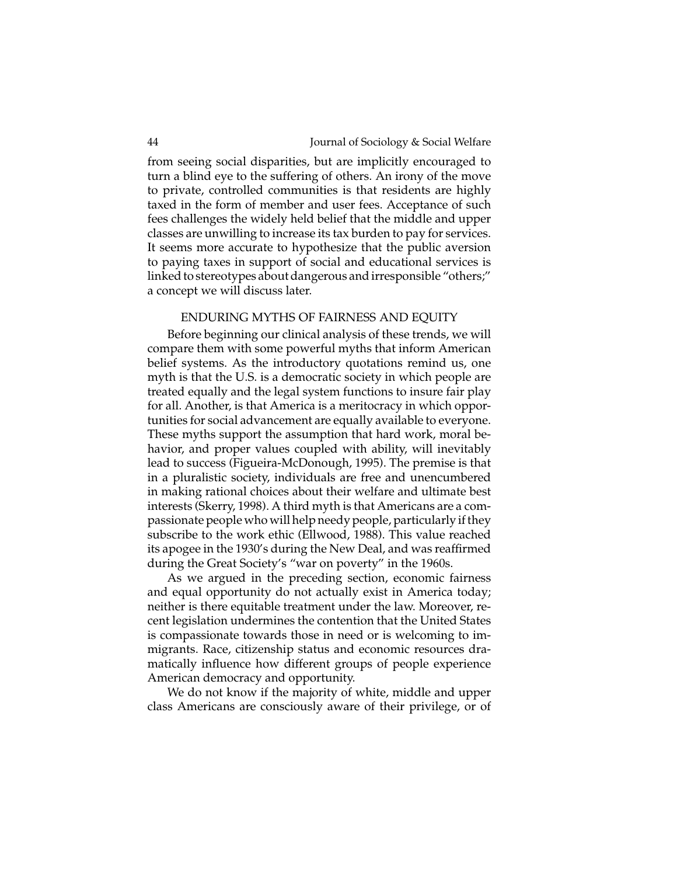from seeing social disparities, but are implicitly encouraged to turn a blind eye to the suffering of others. An irony of the move to private, controlled communities is that residents are highly taxed in the form of member and user fees. Acceptance of such fees challenges the widely held belief that the middle and upper classes are unwilling to increase its tax burden to pay for services. It seems more accurate to hypothesize that the public aversion to paying taxes in support of social and educational services is linked to stereotypes about dangerous and irresponsible "others;" a concept we will discuss later.

#### ENDURING MYTHS OF FAIRNESS AND EQUITY

Before beginning our clinical analysis of these trends, we will compare them with some powerful myths that inform American belief systems. As the introductory quotations remind us, one myth is that the U.S. is a democratic society in which people are treated equally and the legal system functions to insure fair play for all. Another, is that America is a meritocracy in which opportunities for social advancement are equally available to everyone. These myths support the assumption that hard work, moral behavior, and proper values coupled with ability, will inevitably lead to success (Figueira-McDonough, 1995). The premise is that in a pluralistic society, individuals are free and unencumbered in making rational choices about their welfare and ultimate best interests (Skerry, 1998). A third myth is that Americans are a compassionate people who will help needy people, particularly if they subscribe to the work ethic (Ellwood, 1988). This value reached its apogee in the 1930's during the New Deal, and was reaffirmed during the Great Society's "war on poverty" in the 1960s.

As we argued in the preceding section, economic fairness and equal opportunity do not actually exist in America today; neither is there equitable treatment under the law. Moreover, recent legislation undermines the contention that the United States is compassionate towards those in need or is welcoming to immigrants. Race, citizenship status and economic resources dramatically influence how different groups of people experience American democracy and opportunity.

We do not know if the majority of white, middle and upper class Americans are consciously aware of their privilege, or of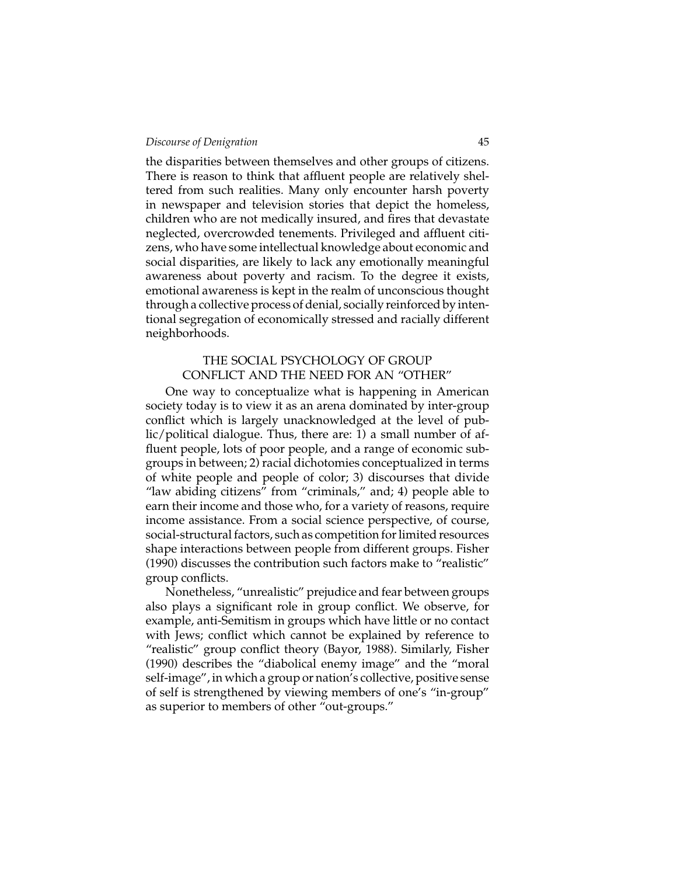the disparities between themselves and other groups of citizens. There is reason to think that affluent people are relatively sheltered from such realities. Many only encounter harsh poverty in newspaper and television stories that depict the homeless, children who are not medically insured, and fires that devastate neglected, overcrowded tenements. Privileged and affluent citizens, who have some intellectual knowledge about economic and social disparities, are likely to lack any emotionally meaningful awareness about poverty and racism. To the degree it exists, emotional awareness is kept in the realm of unconscious thought through a collective process of denial, socially reinforced by intentional segregation of economically stressed and racially different neighborhoods.

#### THE SOCIAL PSYCHOLOGY OF GROUP CONFLICT AND THE NEED FOR AN "OTHER"

One way to conceptualize what is happening in American society today is to view it as an arena dominated by inter-group conflict which is largely unacknowledged at the level of public/political dialogue. Thus, there are: 1) a small number of affluent people, lots of poor people, and a range of economic subgroups in between; 2) racial dichotomies conceptualized in terms of white people and people of color; 3) discourses that divide "law abiding citizens" from "criminals," and; 4) people able to earn their income and those who, for a variety of reasons, require income assistance. From a social science perspective, of course, social-structural factors, such as competition for limited resources shape interactions between people from different groups. Fisher (1990) discusses the contribution such factors make to "realistic" group conflicts.

Nonetheless, "unrealistic" prejudice and fear between groups also plays a significant role in group conflict. We observe, for example, anti-Semitism in groups which have little or no contact with Jews; conflict which cannot be explained by reference to "realistic" group conflict theory (Bayor, 1988). Similarly, Fisher (1990) describes the "diabolical enemy image" and the "moral self-image", in which a group or nation's collective, positive sense of self is strengthened by viewing members of one's "in-group" as superior to members of other "out-groups."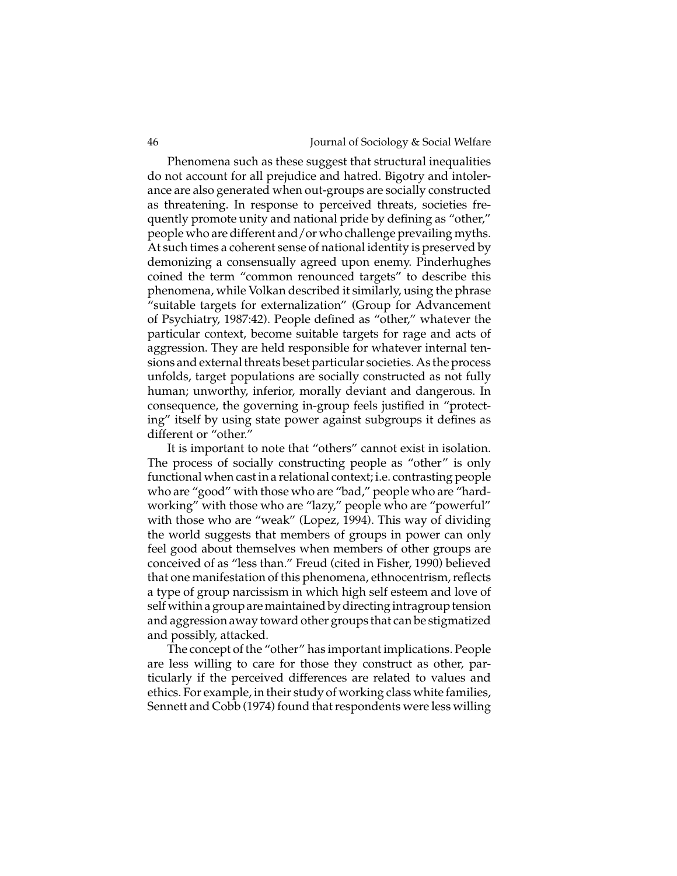Phenomena such as these suggest that structural inequalities do not account for all prejudice and hatred. Bigotry and intolerance are also generated when out-groups are socially constructed as threatening. In response to perceived threats, societies frequently promote unity and national pride by defining as "other," people who are different and/or who challenge prevailing myths. At such times a coherent sense of national identity is preserved by demonizing a consensually agreed upon enemy. Pinderhughes coined the term "common renounced targets" to describe this phenomena, while Volkan described it similarly, using the phrase "suitable targets for externalization" (Group for Advancement of Psychiatry, 1987:42). People defined as "other," whatever the particular context, become suitable targets for rage and acts of aggression. They are held responsible for whatever internal tensions and external threats beset particular societies. As the process unfolds, target populations are socially constructed as not fully human; unworthy, inferior, morally deviant and dangerous. In consequence, the governing in-group feels justified in "protecting" itself by using state power against subgroups it defines as different or "other."

It is important to note that "others" cannot exist in isolation. The process of socially constructing people as "other" is only functional when cast in a relational context; i.e. contrasting people who are "good" with those who are "bad," people who are "hardworking" with those who are "lazy," people who are "powerful" with those who are "weak" (Lopez, 1994). This way of dividing the world suggests that members of groups in power can only feel good about themselves when members of other groups are conceived of as "less than." Freud (cited in Fisher, 1990) believed that one manifestation of this phenomena, ethnocentrism, reflects a type of group narcissism in which high self esteem and love of self within a group are maintained by directing intragroup tension and aggression away toward other groups that can be stigmatized and possibly, attacked.

The concept of the "other" has important implications. People are less willing to care for those they construct as other, particularly if the perceived differences are related to values and ethics. For example, in their study of working class white families, Sennett and Cobb (1974) found that respondents were less willing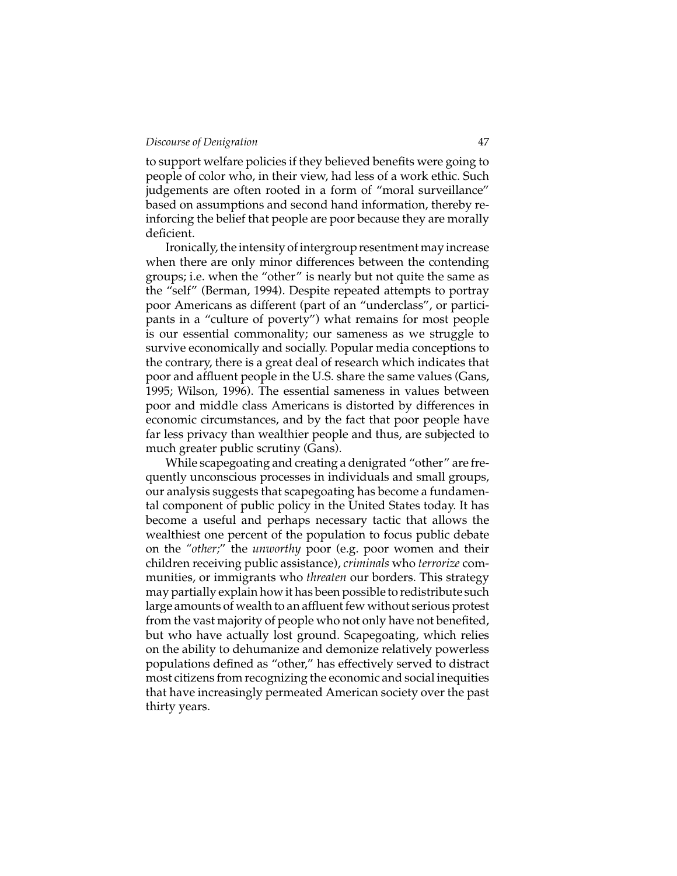to support welfare policies if they believed benefits were going to people of color who, in their view, had less of a work ethic. Such judgements are often rooted in a form of "moral surveillance" based on assumptions and second hand information, thereby reinforcing the belief that people are poor because they are morally deficient.

Ironically, the intensity of intergroup resentment may increase when there are only minor differences between the contending groups; i.e. when the "other" is nearly but not quite the same as the "self" (Berman, 1994). Despite repeated attempts to portray poor Americans as different (part of an "underclass", or participants in a "culture of poverty") what remains for most people is our essential commonality; our sameness as we struggle to survive economically and socially. Popular media conceptions to the contrary, there is a great deal of research which indicates that poor and affluent people in the U.S. share the same values (Gans, 1995; Wilson, 1996). The essential sameness in values between poor and middle class Americans is distorted by differences in economic circumstances, and by the fact that poor people have far less privacy than wealthier people and thus, are subjected to much greater public scrutiny (Gans).

While scapegoating and creating a denigrated "other" are frequently unconscious processes in individuals and small groups, our analysis suggests that scapegoating has become a fundamental component of public policy in the United States today. It has become a useful and perhaps necessary tactic that allows the wealthiest one percent of the population to focus public debate on the "other;" the *unworthy* poor (e.g. poor women and their children receiving public assistance), *criminals* who *terrorize* communities, or immigrants who *threaten* our borders. This strategy may partially explain how it has been possible to redistribute such large amounts of wealth to an affluent few without serious protest from the vast majority of people who not only have not benefited, but who have actually lost ground. Scapegoating, which relies on the ability to dehumanize and demonize relatively powerless populations defined as "other," has effectively served to distract most citizens from recognizing the economic and social inequities that have increasingly permeated American society over the past thirty years.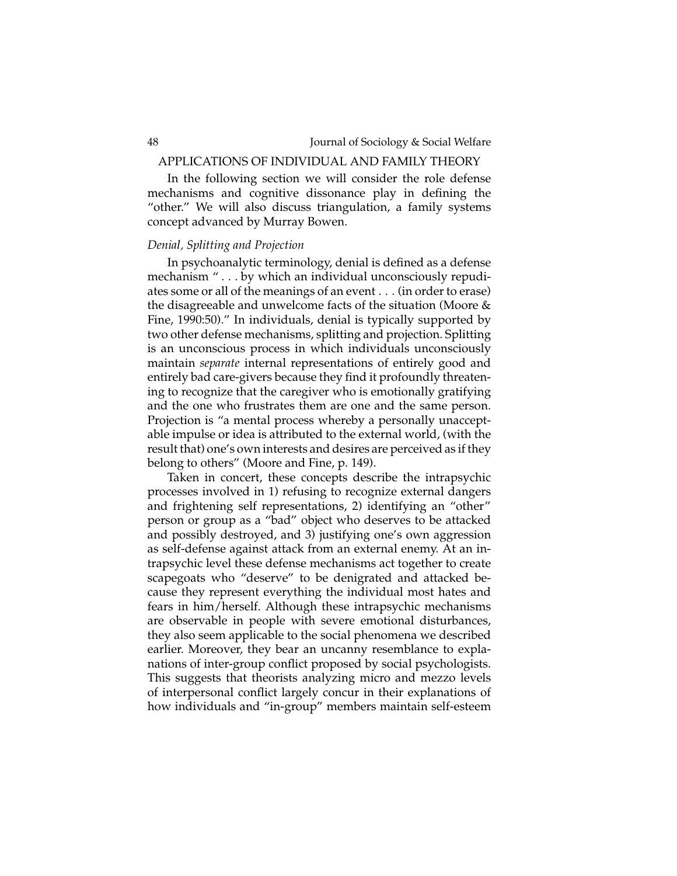### APPLICATIONS OF INDIVIDUAL AND FAMILY THEORY

In the following section we will consider the role defense mechanisms and cognitive dissonance play in defining the "other." We will also discuss triangulation, a family systems concept advanced by Murray Bowen.

#### *Denial, Splitting and Projection*

In psychoanalytic terminology, denial is defined as a defense mechanism " . . . by which an individual unconsciously repudiates some or all of the meanings of an event . . . (in order to erase) the disagreeable and unwelcome facts of the situation (Moore & Fine, 1990:50)." In individuals, denial is typically supported by two other defense mechanisms, splitting and projection. Splitting is an unconscious process in which individuals unconsciously maintain *separate* internal representations of entirely good and entirely bad care-givers because they find it profoundly threatening to recognize that the caregiver who is emotionally gratifying and the one who frustrates them are one and the same person. Projection is "a mental process whereby a personally unacceptable impulse or idea is attributed to the external world, (with the result that) one's own interests and desires are perceived as if they belong to others" (Moore and Fine, p. 149).

Taken in concert, these concepts describe the intrapsychic processes involved in 1) refusing to recognize external dangers and frightening self representations, 2) identifying an "other" person or group as a "bad" object who deserves to be attacked and possibly destroyed, and 3) justifying one's own aggression as self-defense against attack from an external enemy. At an intrapsychic level these defense mechanisms act together to create scapegoats who "deserve" to be denigrated and attacked because they represent everything the individual most hates and fears in him/herself. Although these intrapsychic mechanisms are observable in people with severe emotional disturbances, they also seem applicable to the social phenomena we described earlier. Moreover, they bear an uncanny resemblance to explanations of inter-group conflict proposed by social psychologists. This suggests that theorists analyzing micro and mezzo levels of interpersonal conflict largely concur in their explanations of how individuals and "in-group" members maintain self-esteem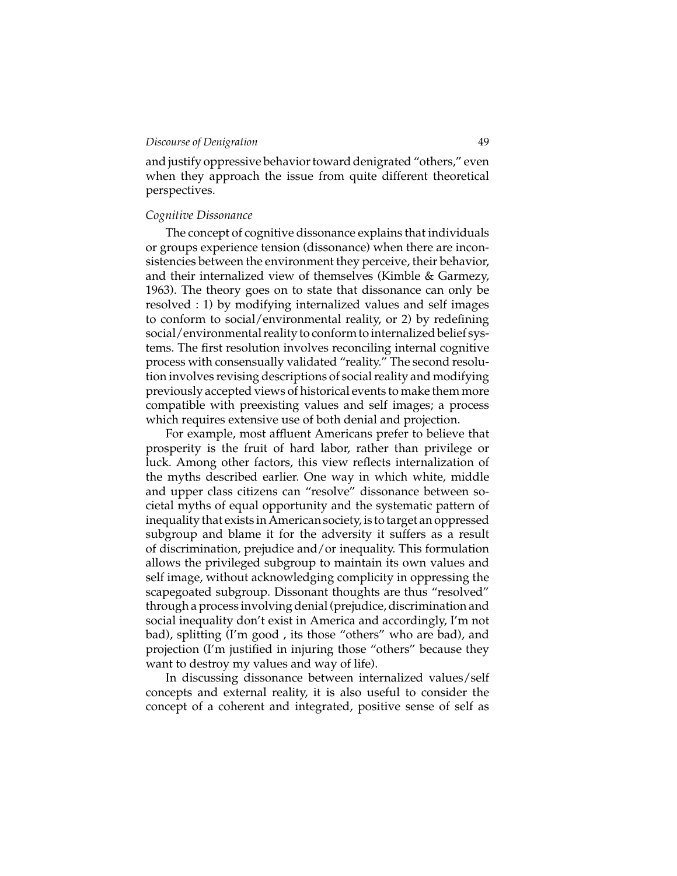and justify oppressive behavior toward denigrated "others," even when they approach the issue from quite different theoretical perspectives.

#### *Cognitive Dissonance*

The concept of cognitive dissonance explains that individuals or groups experience tension (dissonance) when there are inconsistencies between the environment they perceive, their behavior, and their internalized view of themselves (Kimble & Garmezy, 1963). The theory goes on to state that dissonance can only be resolved : 1) by modifying internalized values and self images to conform to social/environmental reality, or 2) by redefining social/environmental reality to conform to internalized belief systems. The first resolution involves reconciling internal cognitive process with consensually validated "reality." The second resolution involves revising descriptions of social reality and modifying previously accepted views of historical events to make them more compatible with preexisting values and self images; a process which requires extensive use of both denial and projection.

For example, most affluent Americans prefer to believe that prosperity is the fruit of hard labor, rather than privilege or luck. Among other factors, this view reflects internalization of the myths described earlier. One way in which white, middle and upper class citizens can "resolve" dissonance between societal myths of equal opportunity and the systematic pattern of inequality that exists in American society, is to target an oppressed subgroup and blame it for the adversity it suffers as a result of discrimination, prejudice and/or inequality. This formulation allows the privileged subgroup to maintain its own values and self image, without acknowledging complicity in oppressing the scapegoated subgroup. Dissonant thoughts are thus "resolved" through a process involving denial (prejudice, discrimination and social inequality don't exist in America and accordingly, I'm not bad), splitting (I'm good , its those "others" who are bad), and projection (I'm justified in injuring those "others" because they want to destroy my values and way of life).

In discussing dissonance between internalized values/self concepts and external reality, it is also useful to consider the concept of a coherent and integrated, positive sense of self as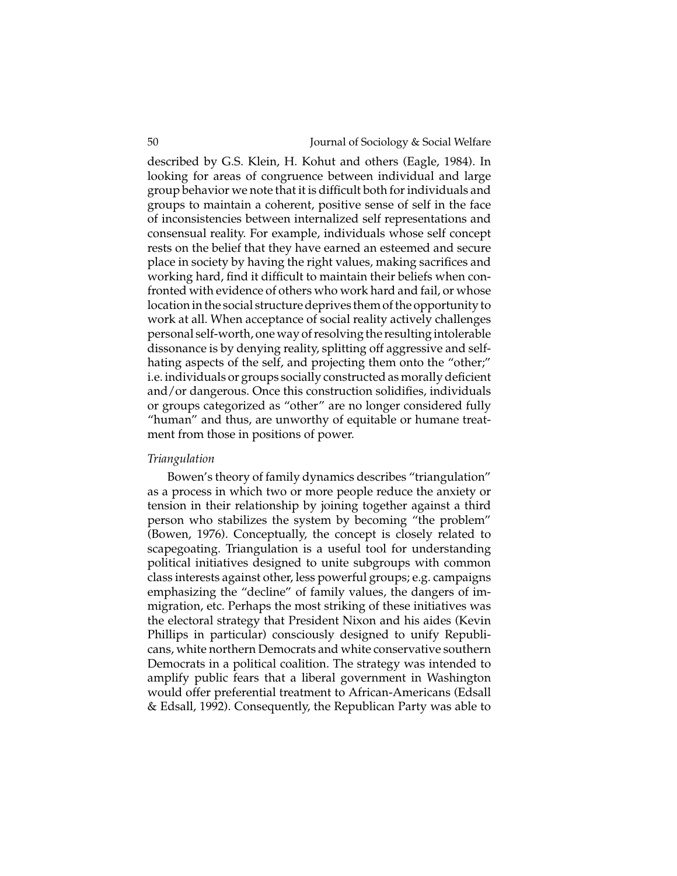described by G.S. Klein, H. Kohut and others (Eagle, 1984). In looking for areas of congruence between individual and large group behavior we note that it is difficult both for individuals and groups to maintain a coherent, positive sense of self in the face of inconsistencies between internalized self representations and consensual reality. For example, individuals whose self concept rests on the belief that they have earned an esteemed and secure place in society by having the right values, making sacrifices and working hard, find it difficult to maintain their beliefs when confronted with evidence of others who work hard and fail, or whose location in the social structure deprives them of the opportunity to work at all. When acceptance of social reality actively challenges personal self-worth, one way of resolving the resulting intolerable dissonance is by denying reality, splitting off aggressive and selfhating aspects of the self, and projecting them onto the "other;" i.e. individuals or groups socially constructed as morally deficient and/or dangerous. Once this construction solidifies, individuals or groups categorized as "other" are no longer considered fully "human" and thus, are unworthy of equitable or humane treatment from those in positions of power.

#### *Triangulation*

Bowen's theory of family dynamics describes "triangulation" as a process in which two or more people reduce the anxiety or tension in their relationship by joining together against a third person who stabilizes the system by becoming "the problem" (Bowen, 1976). Conceptually, the concept is closely related to scapegoating. Triangulation is a useful tool for understanding political initiatives designed to unite subgroups with common class interests against other, less powerful groups; e.g. campaigns emphasizing the "decline" of family values, the dangers of immigration, etc. Perhaps the most striking of these initiatives was the electoral strategy that President Nixon and his aides (Kevin Phillips in particular) consciously designed to unify Republicans, white northern Democrats and white conservative southern Democrats in a political coalition. The strategy was intended to amplify public fears that a liberal government in Washington would offer preferential treatment to African-Americans (Edsall & Edsall, 1992). Consequently, the Republican Party was able to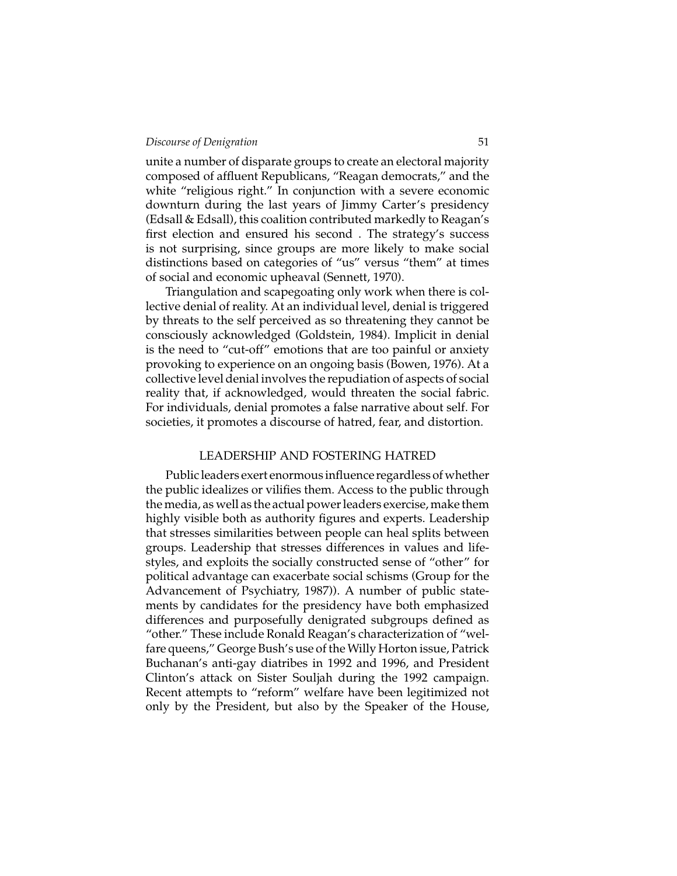unite a number of disparate groups to create an electoral majority composed of affluent Republicans, "Reagan democrats," and the white "religious right." In conjunction with a severe economic downturn during the last years of Jimmy Carter's presidency (Edsall & Edsall), this coalition contributed markedly to Reagan's first election and ensured his second . The strategy's success is not surprising, since groups are more likely to make social distinctions based on categories of "us" versus "them" at times of social and economic upheaval (Sennett, 1970).

Triangulation and scapegoating only work when there is collective denial of reality. At an individual level, denial is triggered by threats to the self perceived as so threatening they cannot be consciously acknowledged (Goldstein, 1984). Implicit in denial is the need to "cut-off" emotions that are too painful or anxiety provoking to experience on an ongoing basis (Bowen, 1976). At a collective level denial involves the repudiation of aspects of social reality that, if acknowledged, would threaten the social fabric. For individuals, denial promotes a false narrative about self. For societies, it promotes a discourse of hatred, fear, and distortion.

#### LEADERSHIP AND FOSTERING HATRED

Public leaders exert enormous influence regardless of whether the public idealizes or vilifies them. Access to the public through the media, as well as the actual powerleaders exercise, make them highly visible both as authority figures and experts. Leadership that stresses similarities between people can heal splits between groups. Leadership that stresses differences in values and lifestyles, and exploits the socially constructed sense of "other" for political advantage can exacerbate social schisms (Group for the Advancement of Psychiatry, 1987)). A number of public statements by candidates for the presidency have both emphasized differences and purposefully denigrated subgroups defined as "other." These include Ronald Reagan's characterization of "welfare queens," George Bush's use of the Willy Horton issue, Patrick Buchanan's anti-gay diatribes in 1992 and 1996, and President Clinton's attack on Sister Souljah during the 1992 campaign. Recent attempts to "reform" welfare have been legitimized not only by the President, but also by the Speaker of the House,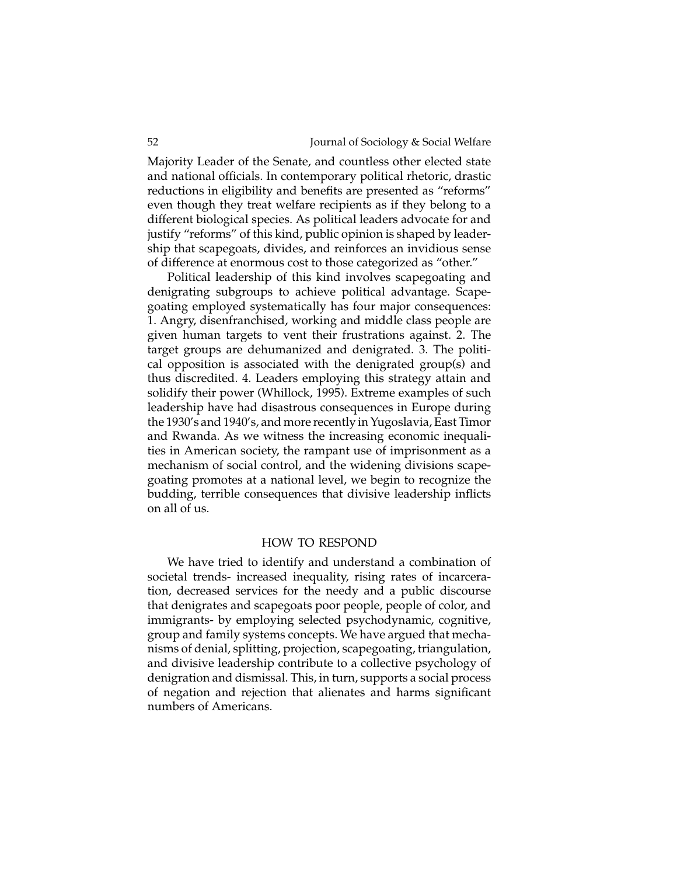Majority Leader of the Senate, and countless other elected state and national officials. In contemporary political rhetoric, drastic reductions in eligibility and benefits are presented as "reforms" even though they treat welfare recipients as if they belong to a different biological species. As political leaders advocate for and justify "reforms" of this kind, public opinion is shaped by leadership that scapegoats, divides, and reinforces an invidious sense of difference at enormous cost to those categorized as "other."

Political leadership of this kind involves scapegoating and denigrating subgroups to achieve political advantage. Scapegoating employed systematically has four major consequences: 1. Angry, disenfranchised, working and middle class people are given human targets to vent their frustrations against. 2. The target groups are dehumanized and denigrated. 3. The political opposition is associated with the denigrated group(s) and thus discredited. 4. Leaders employing this strategy attain and solidify their power (Whillock, 1995). Extreme examples of such leadership have had disastrous consequences in Europe during the 1930's and 1940's, and more recently in Yugoslavia, East Timor and Rwanda. As we witness the increasing economic inequalities in American society, the rampant use of imprisonment as a mechanism of social control, and the widening divisions scapegoating promotes at a national level, we begin to recognize the budding, terrible consequences that divisive leadership inflicts on all of us.

#### HOW TO RESPOND

We have tried to identify and understand a combination of societal trends- increased inequality, rising rates of incarceration, decreased services for the needy and a public discourse that denigrates and scapegoats poor people, people of color, and immigrants- by employing selected psychodynamic, cognitive, group and family systems concepts. We have argued that mechanisms of denial, splitting, projection, scapegoating, triangulation, and divisive leadership contribute to a collective psychology of denigration and dismissal. This, in turn, supports a social process of negation and rejection that alienates and harms significant numbers of Americans.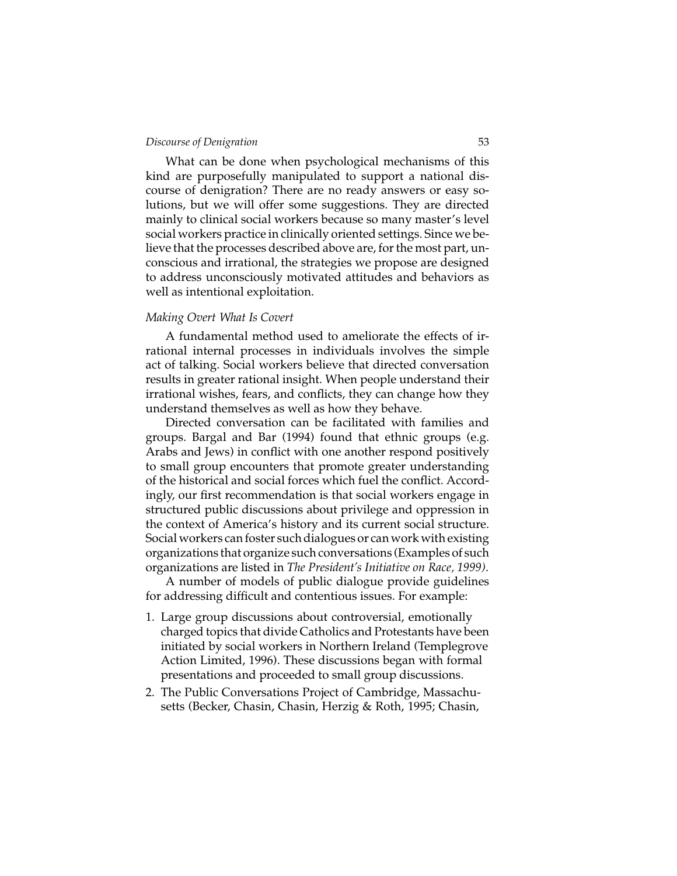What can be done when psychological mechanisms of this kind are purposefully manipulated to support a national discourse of denigration? There are no ready answers or easy solutions, but we will offer some suggestions. They are directed mainly to clinical social workers because so many master's level social workers practice in clinically oriented settings. Since we believe that the processes described above are, for the most part, unconscious and irrational, the strategies we propose are designed to address unconsciously motivated attitudes and behaviors as well as intentional exploitation.

#### *Making Overt What Is Covert*

A fundamental method used to ameliorate the effects of irrational internal processes in individuals involves the simple act of talking. Social workers believe that directed conversation results in greater rational insight. When people understand their irrational wishes, fears, and conflicts, they can change how they understand themselves as well as how they behave.

Directed conversation can be facilitated with families and groups. Bargal and Bar (1994) found that ethnic groups (e.g. Arabs and Jews) in conflict with one another respond positively to small group encounters that promote greater understanding of the historical and social forces which fuel the conflict. Accordingly, our first recommendation is that social workers engage in structured public discussions about privilege and oppression in the context of America's history and its current social structure. Social workers can foster such dialogues or can work with existing organizations that organize such conversations (Examples of such organizations are listed in *The President's Initiative on Race, 1999)*.

A number of models of public dialogue provide guidelines for addressing difficult and contentious issues. For example:

- 1. Large group discussions about controversial, emotionally charged topics that divide Catholics and Protestants have been initiated by social workers in Northern Ireland (Templegrove Action Limited, 1996). These discussions began with formal presentations and proceeded to small group discussions.
- 2. The Public Conversations Project of Cambridge, Massachusetts (Becker, Chasin, Chasin, Herzig & Roth, 1995; Chasin,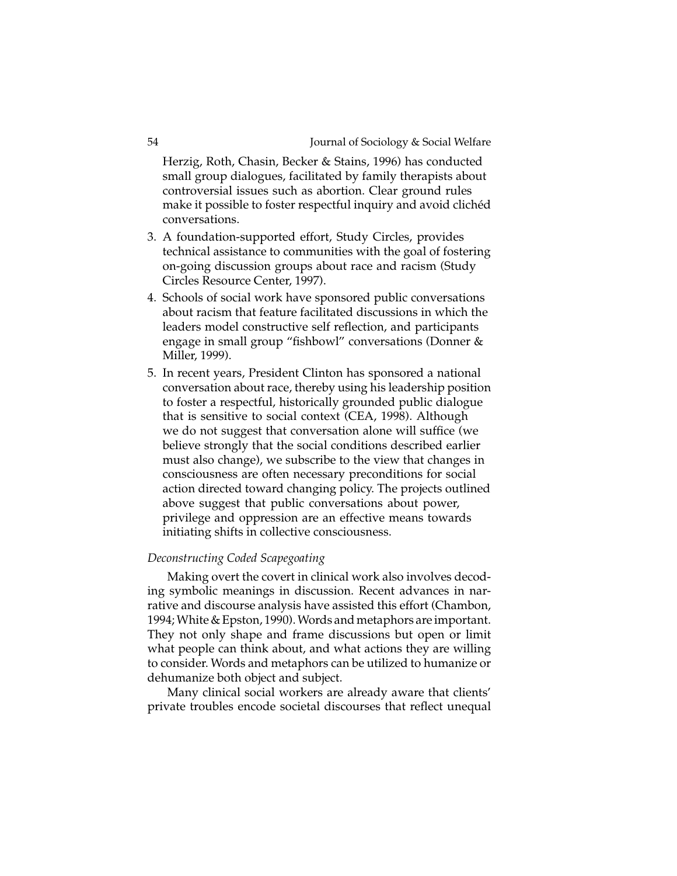Herzig, Roth, Chasin, Becker & Stains, 1996) has conducted small group dialogues, facilitated by family therapists about controversial issues such as abortion. Clear ground rules make it possible to foster respectful inquiry and avoid clichéd conversations.

- 3. A foundation-supported effort, Study Circles, provides technical assistance to communities with the goal of fostering on-going discussion groups about race and racism (Study Circles Resource Center, 1997).
- 4. Schools of social work have sponsored public conversations about racism that feature facilitated discussions in which the leaders model constructive self reflection, and participants engage in small group "fishbowl" conversations (Donner & Miller, 1999).
- 5. In recent years, President Clinton has sponsored a national conversation about race, thereby using his leadership position to foster a respectful, historically grounded public dialogue that is sensitive to social context (CEA, 1998). Although we do not suggest that conversation alone will suffice (we believe strongly that the social conditions described earlier must also change), we subscribe to the view that changes in consciousness are often necessary preconditions for social action directed toward changing policy. The projects outlined above suggest that public conversations about power, privilege and oppression are an effective means towards initiating shifts in collective consciousness.

#### *Deconstructing Coded Scapegoating*

Making overt the covert in clinical work also involves decoding symbolic meanings in discussion. Recent advances in narrative and discourse analysis have assisted this effort (Chambon, 1994;White & Epston, 1990).Words and metaphors are important. They not only shape and frame discussions but open or limit what people can think about, and what actions they are willing to consider. Words and metaphors can be utilized to humanize or dehumanize both object and subject.

Many clinical social workers are already aware that clients' private troubles encode societal discourses that reflect unequal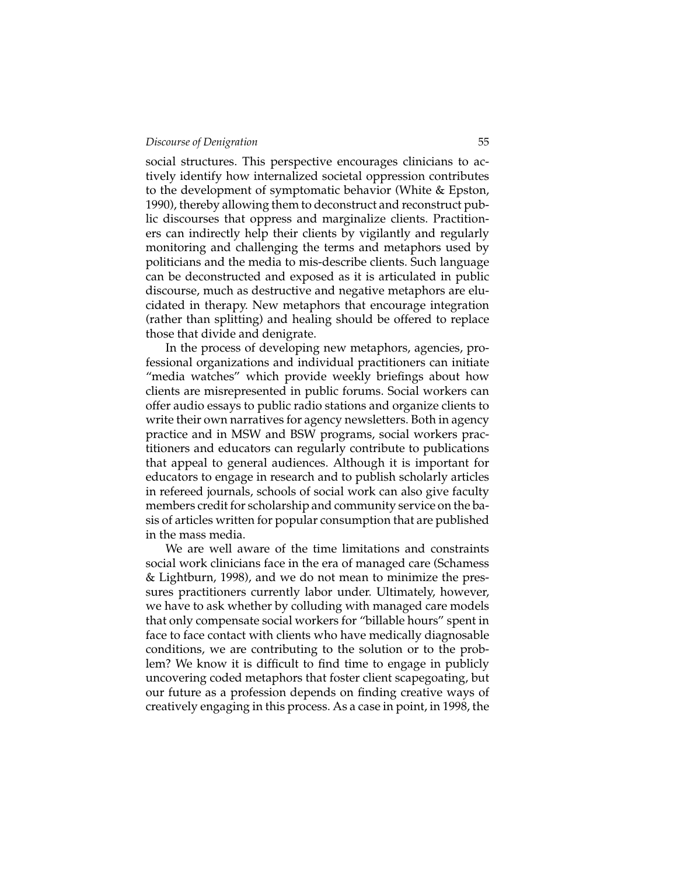social structures. This perspective encourages clinicians to actively identify how internalized societal oppression contributes to the development of symptomatic behavior(White & Epston, 1990), thereby allowing them to deconstruct and reconstruct public discourses that oppress and marginalize clients. Practitioners can indirectly help their clients by vigilantly and regularly monitoring and challenging the terms and metaphors used by politicians and the media to mis-describe clients. Such language can be deconstructed and exposed as it is articulated in public discourse, much as destructive and negative metaphors are elucidated in therapy. New metaphors that encourage integration (rather than splitting) and healing should be offered to replace those that divide and denigrate.

In the process of developing new metaphors, agencies, professional organizations and individual practitioners can initiate "media watches" which provide weekly briefings about how clients are misrepresented in public forums. Social workers can offeraudio essays to public radio stations and organize clients to write their own narratives for agency newsletters. Both in agency practice and in MSW and BSW programs, social workers practitioners and educators can regularly contribute to publications that appeal to general audiences. Although it is important for educators to engage in research and to publish scholarly articles in refereed journals, schools of social work can also give faculty members credit for scholarship and community service on the basis of articles written for popular consumption that are published in the mass media.

We are well aware of the time limitations and constraints social work clinicians face in the era of managed care (Schamess & Lightburn, 1998), and we do not mean to minimize the pressures practitioners currently labor under. Ultimately, however, we have to ask whether by colluding with managed care models that only compensate social workers for "billable hours" spent in face to face contact with clients who have medically diagnosable conditions, we are contributing to the solution or to the problem? We know it is difficult to find time to engage in publicly uncovering coded metaphors that foster client scapegoating, but our future as a profession depends on finding creative ways of creatively engaging in this process. As a case in point, in 1998, the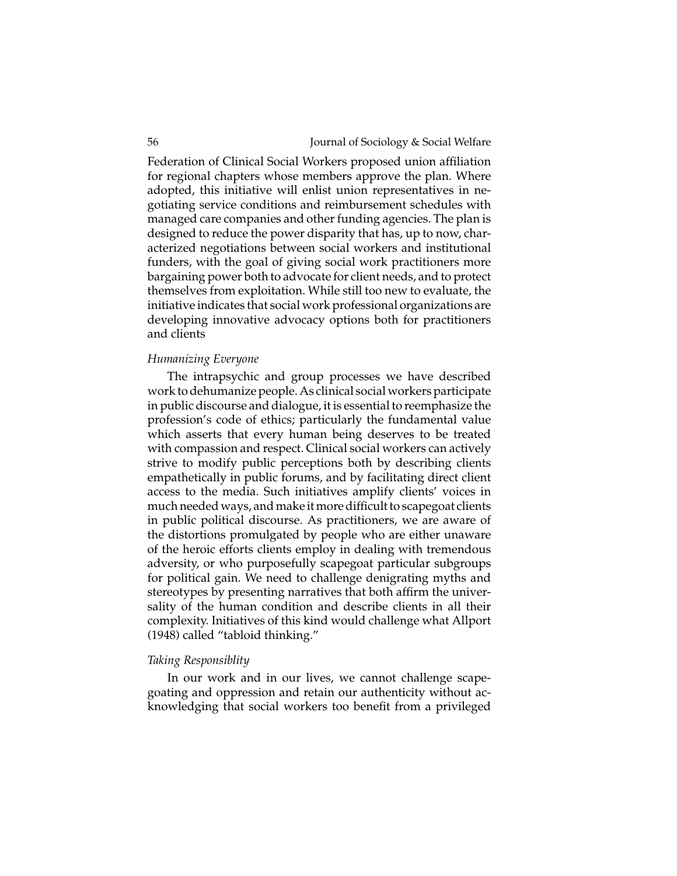Federation of Clinical Social Workers proposed union affiliation for regional chapters whose members approve the plan. Where adopted, this initiative will enlist union representatives in negotiating service conditions and reimbursement schedules with managed care companies and other funding agencies. The plan is designed to reduce the power disparity that has, up to now, characterized negotiations between social workers and institutional funders, with the goal of giving social work practitioners more bargaining power both to advocate for client needs, and to protect themselves from exploitation. While still too new to evaluate, the initiative indicates that social work professional organizations are developing innovative advocacy options both for practitioners and clients

#### *Humanizing Everyone*

The intrapsychic and group processes we have described work to dehumanize people. As clinical social workers participate in public discourse and dialogue, it is essential to reemphasize the profession's code of ethics; particularly the fundamental value which asserts that every human being deserves to be treated with compassion and respect. Clinical social workers can actively strive to modify public perceptions both by describing clients empathetically in public forums, and by facilitating direct client access to the media. Such initiatives amplify clients' voices in much needed ways, and make it more difficult to scapegoat clients in public political discourse. As practitioners, we are aware of the distortions promulgated by people who are either unaware of the heroic efforts clients employ in dealing with tremendous adversity, or who purposefully scapegoat particular subgroups for political gain. We need to challenge denigrating myths and stereotypes by presenting narratives that both affirm the universality of the human condition and describe clients in all their complexity. Initiatives of this kind would challenge what Allport (1948) called "tabloid thinking."

#### *Taking Responsiblity*

In our work and in our lives, we cannot challenge scapegoating and oppression and retain our authenticity without acknowledging that social workers too benefit from a privileged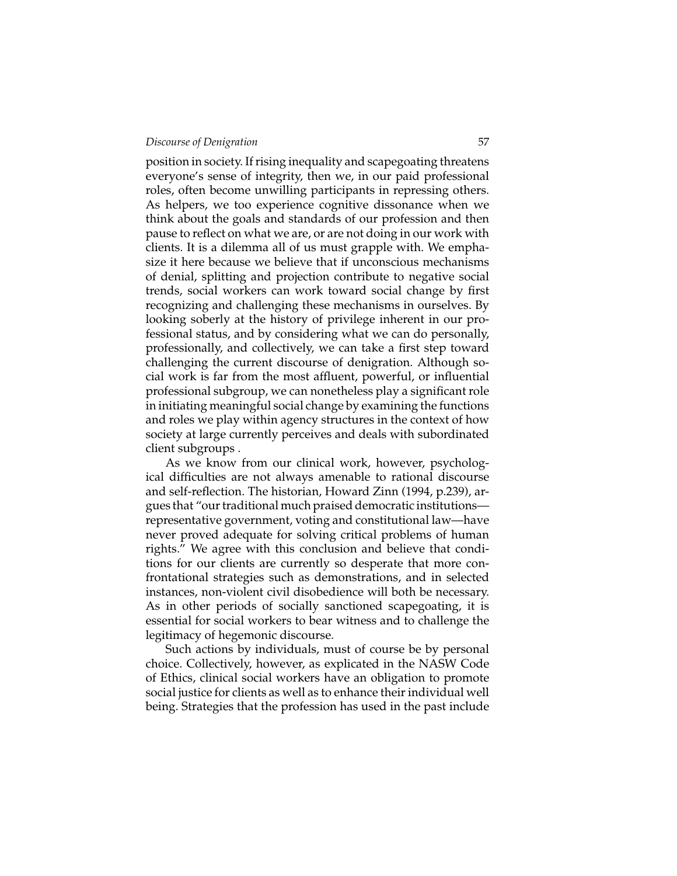position in society. If rising inequality and scapegoating threatens everyone's sense of integrity, then we, in our paid professional roles, often become unwilling participants in repressing others. As helpers, we too experience cognitive dissonance when we think about the goals and standards of our profession and then pause to reflect on what we are, or are not doing in our work with clients. It is a dilemma all of us must grapple with. We emphasize it here because we believe that if unconscious mechanisms of denial, splitting and projection contribute to negative social trends, social workers can work toward social change by first recognizing and challenging these mechanisms in ourselves. By looking soberly at the history of privilege inherent in our professional status, and by considering what we can do personally, professionally, and collectively, we can take a first step toward challenging the current discourse of denigration. Although social work is far from the most affluent, powerful, or influential professional subgroup, we can nonetheless play a significant role in initiating meaningful social change by examining the functions and roles we play within agency structures in the context of how society at large currently perceives and deals with subordinated client subgroups .

As we know from our clinical work, however, psychological difficulties are not always amenable to rational discourse and self-reflection. The historian, Howard Zinn (1994, p.239), argues that "our traditional much praised democratic institutions representative government, voting and constitutional law—have never proved adequate for solving critical problems of human rights." We agree with this conclusion and believe that conditions for our clients are currently so desperate that more confrontational strategies such as demonstrations, and in selected instances, non-violent civil disobedience will both be necessary. As in other periods of socially sanctioned scapegoating, it is essential for social workers to bear witness and to challenge the legitimacy of hegemonic discourse.

Such actions by individuals, must of course be by personal choice. Collectively, however, as explicated in the NASW Code of Ethics, clinical social workers have an obligation to promote social justice for clients as well as to enhance their individual well being. Strategies that the profession has used in the past include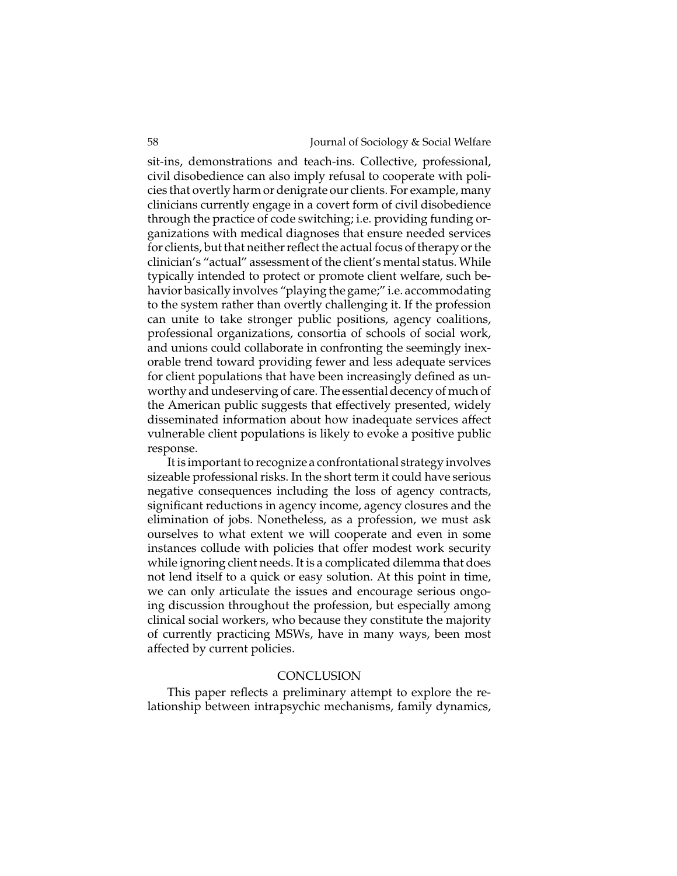sit-ins, demonstrations and teach-ins. Collective, professional, civil disobedience can also imply refusal to cooperate with policies that overtly harm or denigrate our clients. For example, many clinicians currently engage in a covert form of civil disobedience through the practice of code switching; i.e. providing funding organizations with medical diagnoses that ensure needed services for clients, but that neither reflect the actual focus of therapy or the clinician's "actual" assessment of the client's mental status. While typically intended to protect or promote client welfare, such behavior basically involves "playing the game;" i.e. accommodating to the system rather than overtly challenging it. If the profession can unite to take stronger public positions, agency coalitions, professional organizations, consortia of schools of social work, and unions could collaborate in confronting the seemingly inexorable trend toward providing fewer and less adequate services for client populations that have been increasingly defined as unworthy and undeserving of care. The essential decency of much of the American public suggests that effectively presented, widely disseminated information about how inadequate services affect vulnerable client populations is likely to evoke a positive public response.

It is important to recognize a confrontational strategy involves sizeable professional risks. In the short term it could have serious negative consequences including the loss of agency contracts, significant reductions in agency income, agency closures and the elimination of jobs. Nonetheless, as a profession, we must ask ourselves to what extent we will cooperate and even in some instances collude with policies that offer modest work security while ignoring client needs. It is a complicated dilemma that does not lend itself to a quick or easy solution. At this point in time, we can only articulate the issues and encourage serious ongoing discussion throughout the profession, but especially among clinical social workers, who because they constitute the majority of currently practicing MSWs, have in many ways, been most affected by current policies.

#### **CONCLUSION**

This paper reflects a preliminary attempt to explore the relationship between intrapsychic mechanisms, family dynamics,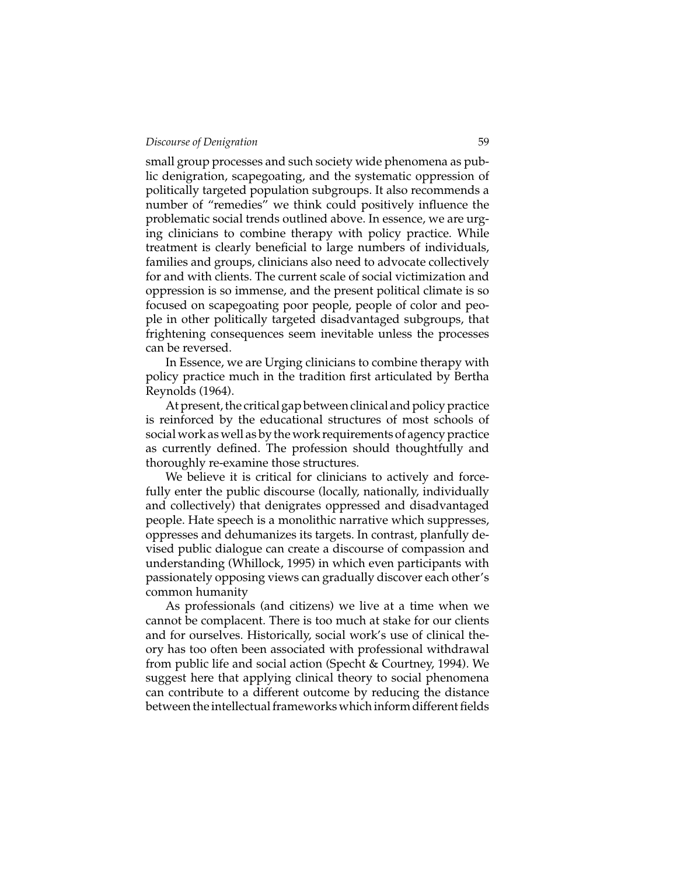small group processes and such society wide phenomena as public denigration, scapegoating, and the systematic oppression of politically targeted population subgroups. It also recommends a number of "remedies" we think could positively influence the problematic social trends outlined above. In essence, we are urging clinicians to combine therapy with policy practice. While treatment is clearly beneficial to large numbers of individuals, families and groups, clinicians also need to advocate collectively for and with clients. The current scale of social victimization and oppression is so immense, and the present political climate is so focused on scapegoating poor people, people of color and people in other politically targeted disadvantaged subgroups, that frightening consequences seem inevitable unless the processes can be reversed.

In Essence, we are Urging clinicians to combine therapy with policy practice much in the tradition first articulated by Bertha Reynolds (1964).

At present, the critical gap between clinical and policy practice is reinforced by the educational structures of most schools of social work as well as by the work requirements of agency practice as currently defined. The profession should thoughtfully and thoroughly re-examine those structures.

We believe it is critical for clinicians to actively and forcefully enter the public discourse (locally, nationally, individually and collectively) that denigrates oppressed and disadvantaged people. Hate speech is a monolithic narrative which suppresses, oppresses and dehumanizes its targets. In contrast, planfully devised public dialogue can create a discourse of compassion and understanding (Whillock, 1995) in which even participants with passionately opposing views can gradually discover each other's common humanity

As professionals (and citizens) we live at a time when we cannot be complacent. There is too much at stake for our clients and for ourselves. Historically, social work's use of clinical theory has too often been associated with professional withdrawal from public life and social action (Specht & Courtney, 1994). We suggest here that applying clinical theory to social phenomena can contribute to a different outcome by reducing the distance between the intellectual frameworks which inform different fields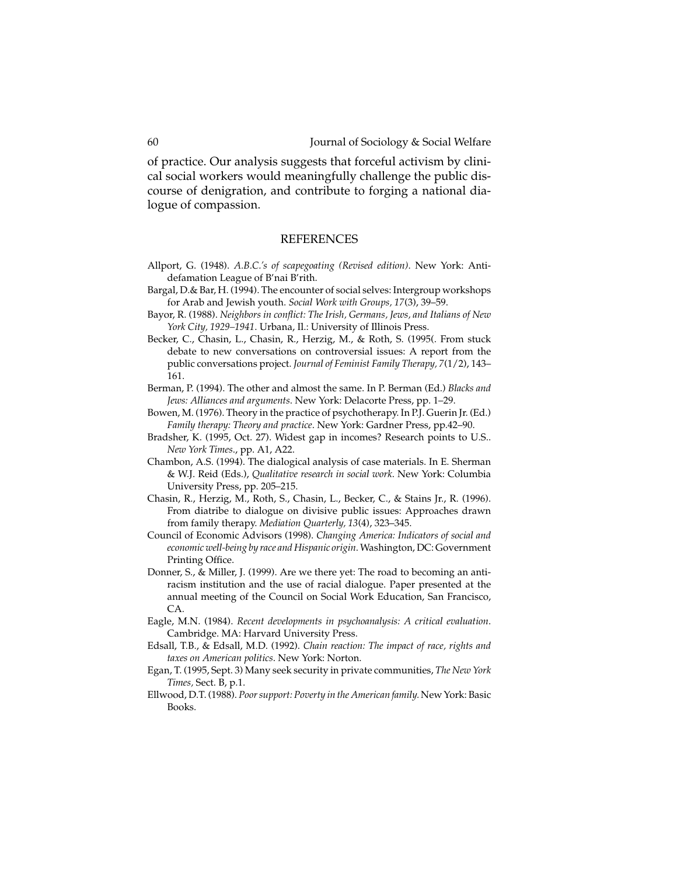of practice. Our analysis suggests that forceful activism by clinical social workers would meaningfully challenge the public discourse of denigration, and contribute to forging a national dialogue of compassion.

#### REFERENCES

- Allport, G. (1948). *A.B.C.'s of scapegoating (Revised edition)*. New York: Antidefamation League of B'nai B'rith.
- Bargal, D.& Bar, H. (1994). The encounter of social selves: Intergroup workshops forArab and Jewish youth. *Social Work with Groups, 17*(3), 39–59.
- Bayor, R. (1988). *Neighbors in conflict: The Irish, Germans, Jews, and Italians of New York City, 1929–1941*. Urbana, Il.: University of Illinois Press.
- Becker, C., Chasin, L., Chasin, R., Herzig, M., & Roth, S. (1995(. From stuck debate to new conversations on controversial issues: A report from the public conversations project. *Journal of Feminist Family Therapy, 7*(1/2), 143– 161.
- Berman, P. (1994). The other and almost the same. In P. Berman (Ed.) *Blacks and Jews: Alliances and arguments*. New York: Delacorte Press, pp. 1–29.
- Bowen, M. (1976). Theory in the practice of psychotherapy. In P.J. Guerin Jr. (Ed.) *Family therapy: Theory and practice*. New York: Gardner Press, pp.42–90.
- Bradsher, K. (1995, Oct. 27). Widest gap in incomes? Research points to U.S.. *New York Times*., pp. A1, A22.
- Chambon, A.S. (1994). The dialogical analysis of case materials. In E. Sherman & W.J. Reid (Eds.), *Qualitative research in social work*. New York: Columbia University Press, pp. 205–215.
- Chasin, R., Herzig, M., Roth, S., Chasin, L., Becker, C., & Stains Jr., R. (1996). From diatribe to dialogue on divisive public issues: Approaches drawn from family therapy. *Mediation Quarterly, 13*(4), 323–345.
- Council of Economic Advisors (1998). *Changing America: Indicators of social and economic well-being by race and Hispanic origin*.Washington, DC: Government Printing Office.
- Donner, S., & Miller, J. (1999). Are we there yet: The road to becoming an antiracism institution and the use of racial dialogue. Paper presented at the annual meeting of the Council on Social Work Education, San Francisco, CA*.*
- Eagle, M.N. (1984). *Recent developments in psychoanalysis: A critical evaluation*. Cambridge. MA: Harvard University Press.
- Edsall, T.B., & Edsall, M.D. (1992). *Chain reaction: The impact of race, rights and taxes on American politics*. New York: Norton.
- Egan, T. (1995, Sept. 3) Many seek security in private communities, *The New York Times,* Sect. B, p.1.
- Ellwood, D.T. (1988). *Poor support: Poverty in the American family.* New York: Basic Books.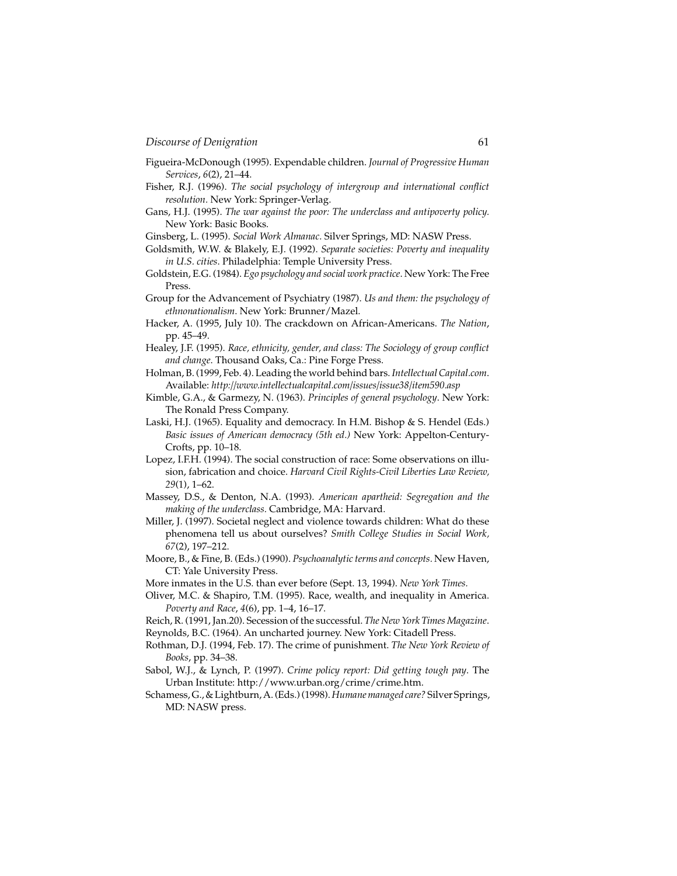- Figueira-McDonough (1995). Expendable children. *Journal of Progressive Human Services*, *6*(2), 21–44.
- Fisher, R.J. (1996). *The social psychology of intergroup and international conflict resolution.* New York: Springer-Verlag.
- Gans, H.J. (1995). *The war against the poor: The underclass and antipoverty policy.* New York: Basic Books.
- Ginsberg, L. (1995). Social Work Almanac. Silver Springs, MD: NASW Press.
- Goldsmith, W.W. & Blakely, E.J. (1992). *Separate societies: Poverty and inequality in U.S. cities*. Philadelphia: Temple University Press.
- Goldstein, E.G. (1984). *Ego psychology and social work practice*. New York: The Free Press.
- Group for the Advancement of Psychiatry (1987). *Us and them: the psychology of ethnonationalism*. New York: Brunner/Mazel.
- Hacker, A. (1995, July 10). The crackdown on African-Americans. *The Nation*, pp. 45–49.
- Healey, J.F. (1995). *Race, ethnicity, gender, and class: The Sociology of group conflict and change*. Thousand Oaks, Ca.: Pine Forge Press.
- Holman, B. (1999, Feb. 4). Leading the world behind bars. *Intellectual Capital.com*. Available: *http://www.intellectualcapital.com/issues/issue38/item590.asp*
- Kimble, G.A., & Garmezy, N. (1963). *Principles of general psychology*. New York: The Ronald Press Company.
- Laski, H.J. (1965). Equality and democracy. In H.M. Bishop & S. Hendel (Eds.) *Basic issues of American democracy (5th ed.)* New York: Appelton-Century-Crofts, pp. 10–18.
- Lopez, I.F.H. (1994). The social construction of race: Some observations on illusion, fabrication and choice. *Harvard Civil Rights-Civil Liberties Law Review, 29*(1), 1–62.
- Massey, D.S., & Denton, N.A. (1993). *American apartheid: Segregation and the making of the underclass.* Cambridge, MA: Harvard.
- Miller, J. (1997). Societal neglect and violence towards children: What do these phenomena tell us about ourselves? *Smith College Studies in Social Work, 67*(2), 197–212.
- Moore, B., & Fine, B. (Eds.) (1990). *Psychoanalytic terms and concepts.* New Haven, CT: Yale University Press.
- More inmates in the U.S. than ever before (Sept. 13, 1994). *New York Times.*
- Oliver, M.C. & Shapiro, T.M. (1995). Race, wealth, and inequality in America. *Poverty and Race*, *4*(6), pp. 1–4, 16–17.
- Reich, R. (1991, Jan.20). Secession of the successful. *The New York Times Magazine*.
- Reynolds, B.C. (1964). An uncharted journey. New York: Citadell Press.
- Rothman, D.J. (1994, Feb. 17). The crime of punishment. *The New York Review of Books*, pp. 34–38.
- Sabol, W.J., & Lynch, P. (1997). *Crime policy report: Did getting tough pay*. The Urban Institute: http://www.urban.org/crime/crime.htm.
- Schamess, G., & Lightburn, A. (Eds.) (1998).*Humane managed care?* SilverSprings, MD: NASW press.